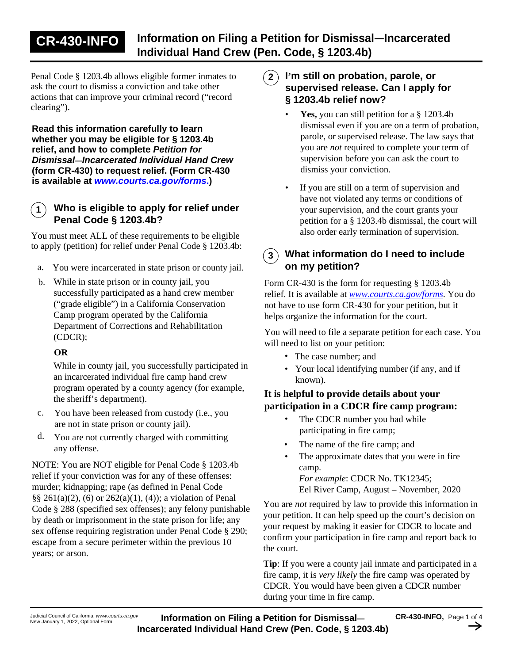# **CR-430-INFO** Information on Filing a Petition for Dismissal–Incarcerated **Individual Hand Crew (Pen. Code, § 1203.4b)**

Penal Code § 1203.4b allows eligible former inmates to ask the court to dismiss a conviction and take other actions that can improve your criminal record ("record clearing").

**Read this information carefully to learn whether you may be eligible for § 1203.4b relief, and how to complete** *Petition for Dismissal—Incarcerated Individual Hand Crew*  **(form CR-430) to request relief. (Form CR-430 is available at** *[www.courts.ca.gov/forms](http://www.courts.ca.gov/forms)***[.\)](http://www.courts.ca.gov/forms)**

#### **1 Who is eligible to apply for relief under Penal Code § 1203.4b?**

You must meet ALL of these requirements to be eligible to apply (petition) for relief under Penal Code § 1203.4b:

- a. You were incarcerated in state prison or county jail.
- While in state prison or in county jail, you b. successfully participated as a hand crew member ("grade eligible") in a California Conservation Camp program operated by the California Department of Corrections and Rehabilitation (CDCR);

#### **OR**

While in county jail, you successfully participated in an incarcerated individual fire camp hand crew program operated by a county agency (for example, the sheriff's department).

- c. You have been released from custody (i.e., you are not in state prison or county jail).
- You are not currently charged with committing any offense. d.

NOTE: You are NOT eligible for Penal Code § 1203.4b relief if your conviction was for any of these offenses: murder; kidnapping; rape (as defined in Penal Code §§ 261(a)(2), (6) or 262(a)(1), (4)); a violation of Penal Code § 288 (specified sex offenses); any felony punishable by death or imprisonment in the state prison for life; any sex offense requiring registration under Penal Code § 290; escape from a secure perimeter within the previous 10 years; or arson.

- **I'm still on probation, parole, or supervised release. Can I apply for § 1203.4b relief now? 2**
	- **Yes,** you can still petition for a § 1203.4b dismissal even if you are on a term of probation, parole, or supervised release. The law says that you are *not* required to complete your term of supervision before you can ask the court to dismiss your conviction. •
	- If you are still on a term of supervision and have not violated any terms or conditions of your supervision, and the court grants your petition for a § 1203.4b dismissal, the court will also order early termination of supervision. •

## **3 What information do I need to include on my petition?**

Form CR-430 is the form for requesting § 1203.4b relief. It is available at *[www.courts.ca.gov/forms](http://www.courts.ca.gov/forms)*. You do not have to use form CR-430 for your petition, but it helps organize the information for the court.

You will need to file a separate petition for each case. You will need to list on your petition:

- The case number; and
- Your local identifying number (if any, and if known).

#### **It is helpful to provide details about your participation in a CDCR fire camp program:**

- The CDCR number you had while participating in fire camp; •
- The name of the fire camp; and •
- The approximate dates that you were in fire camp. *For example*: CDCR No. TK12345; •

Eel River Camp, August – November, 2020

You are *not* required by law to provide this information in your petition. It can help speed up the court's decision on your request by making it easier for CDCR to locate and confirm your participation in fire camp and report back to the court.

**Tip**: If you were a county jail inmate and participated in a fire camp, it is *very likely* the fire camp was operated by CDCR. You would have been given a CDCR number during your time in fire camp.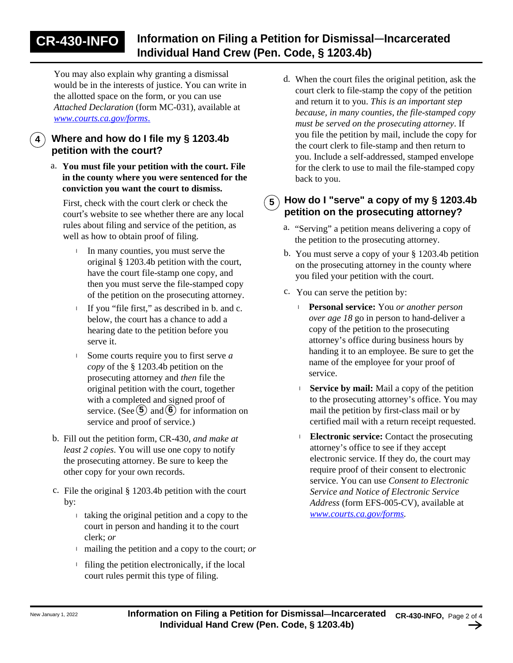You may also explain why granting a dismissal would be in the interests of justice. You can write in the allotted space on the form, or you can use *Attached Declaration* (form MC-031), available at *[www.courts.ca.gov/forms](http://www.courts.ca.gov/forms)*[.](http://www.courts.ca.gov/forms)

# **4 Where and how do I file my § 1203.4b petition with the court?**

**You must file your petition with the court. File**  a. **in the county where you were sentenced for the conviction you want the court to dismiss.**

First, check with the court clerk or check the court's website to see whether there are any local rules about filing and service of the petition, as well as how to obtain proof of filing.

- I In many counties, you must serve the original § 1203.4b petition with the court, have the court file-stamp one copy, and then you must serve the file-stamped copy of the petition on the prosecuting attorney.
- <sup>l</sup> If you "file first," as described in b. and c. below, the court has a chance to add a hearing date to the petition before you serve it.
- Some courts require you to first serve *a*  l *copy* of the § 1203.4b petition on the prosecuting attorney and *then* file the original petition with the court, together with a completed and signed proof of service. (See  $(5)$  and  $(6)$  for information on service and proof of service.)
- b. Fill out the petition form, CR-430, *and make at least 2 copies*. You will use one copy to notify the prosecuting attorney. Be sure to keep the other copy for your own records.
- c. File the original  $\S$  1203.4b petition with the court by:
	- <sup>l</sup> taking the original petition and a copy to the court in person and handing it to the court clerk; *or*
	- <sup>l</sup> mailing the petition and a copy to the court; *or*
	- <sup>l</sup> filing the petition electronically, if the local court rules permit this type of filing.

When the court files the original petition, ask the court clerk to file-stamp the copy of the petition and return it to you. *This is an important step because, in many counties, the file-stamped copy must be served on the prosecuting attorney*. If you file the petition by mail, include the copy for the court clerk to file-stamp and then return to you. Include a self-addressed, stamped envelope for the clerk to use to mail the file-stamped copy back to you.

## **5 How do I "serve" a copy of my § 1203.4b petition on the prosecuting attorney?**

- a. "Serving" a petition means delivering a copy of the petition to the prosecuting attorney.
- b. You must serve a copy of your § 1203.4b petition on the prosecuting attorney in the county where you filed your petition with the court.
- c. You can serve the petition by:
	- <sup>l</sup> **Personal service:** You *or another person over age 18* go in person to hand-deliver a copy of the petition to the prosecuting attorney's office during business hours by handing it to an employee. Be sure to get the name of the employee for your proof of service.
	- <sup>l</sup> **Service by mail:** Mail a copy of the petition to the prosecuting attorney's office. You may mail the petition by first-class mail or by certified mail with a return receipt requested.
	- <sup>l</sup> **Electronic service:** Contact the prosecuting attorney's office to see if they accept electronic service. If they do, the court may require proof of their consent to electronic service. You can use *Consent to Electronic Service and Notice of Electronic Service Address* (form EFS-005-CV), available at *<www.courts.ca.gov/forms>.*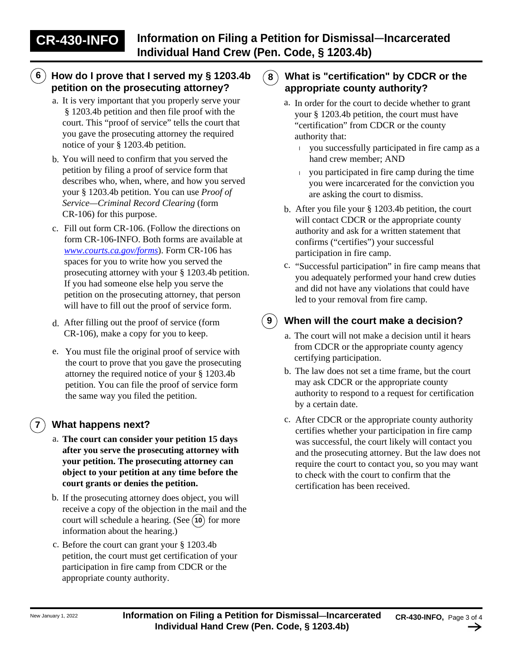# **6 How do I prove that I served my § 1203.4b petition on the prosecuting attorney?**

- a. It is very important that you properly serve your § 1203.4b petition and then file proof with the court. This "proof of service" tells the court that you gave the prosecuting attorney the required notice of your § 1203.4b petition.
- b. You will need to confirm that you served the petition by filing a proof of service form that describes who, when, where, and how you served your § 1203.4b petition. You can use *Proof of Service—Criminal Record Clearing* (form CR-106) for this purpose.
- c. Fill out form CR-106. (Follow the directions on form CR-106-INFO. Both forms are available at *<www.courts.ca.gov/forms>*). Form CR-106 has spaces for you to write how you served the prosecuting attorney with your § 1203.4b petition. If you had someone else help you serve the petition on the prosecuting attorney, that person will have to fill out the proof of service form.
- After filling out the proof of service (form d. CR-106), make a copy for you to keep.
- e. You must file the original proof of service with the court to prove that you gave the prosecuting attorney the required notice of your § 1203.4b petition. You can file the proof of service form the same way you filed the petition.

# **7 What happens next?**

- a. **The court can consider your petition 15 days after you serve the prosecuting attorney with your petition. The prosecuting attorney can object to your petition at any time before the court grants or denies the petition.**
- b. If the prosecuting attorney does object, you will receive a copy of the objection in the mail and the court will schedule a hearing. (See  $(10)$  for more information about the hearing.)
- c. Before the court can grant your § 1203.4b petition, the court must get certification of your participation in fire camp from CDCR or the appropriate county authority.

### **8 What is "certification" by CDCR or the appropriate county authority?**

- a. In order for the court to decide whether to grant your § 1203.4b petition, the court must have "certification" from CDCR or the county authority that:
	- <sup>l</sup> you successfully participated in fire camp as a hand crew member; AND
	- <sup>l</sup> you participated in fire camp during the time you were incarcerated for the conviction you are asking the court to dismiss.
- b. After you file your § 1203.4b petition, the court will contact CDCR or the appropriate county authority and ask for a written statement that confirms ("certifies") your successful participation in fire camp.
- c. "Successful participation" in fire camp means that you adequately performed your hand crew duties and did not have any violations that could have led to your removal from fire camp.

## **9 When will the court make a decision?**

- a. The court will not make a decision until it hears from CDCR or the appropriate county agency certifying participation.
- b. The law does not set a time frame, but the court may ask CDCR or the appropriate county authority to respond to a request for certification by a certain date.
- c. After CDCR or the appropriate county authority certifies whether your participation in fire camp was successful, the court likely will contact you and the prosecuting attorney. But the law does not require the court to contact you, so you may want to check with the court to confirm that the certification has been received.